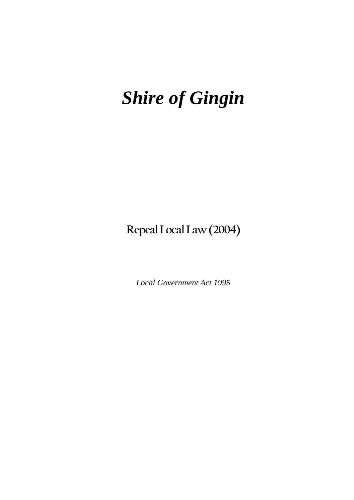## *Shire of Gingin*

**Repeal Local Law (2004)** 

*Local Government Act 1995*